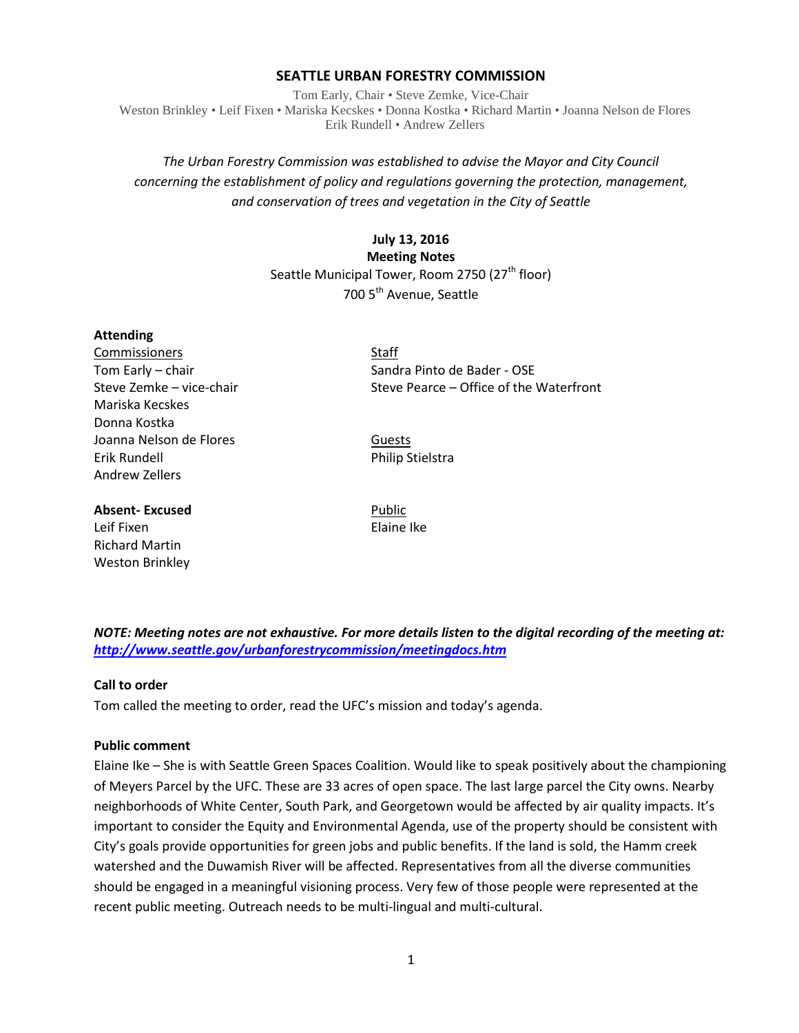### **SEATTLE URBAN FORESTRY COMMISSION**

Tom Early, Chair • Steve Zemke, Vice-Chair Weston Brinkley • Leif Fixen • Mariska Kecskes • Donna Kostka • Richard Martin • Joanna Nelson de Flores Erik Rundell • Andrew Zellers

# *The Urban Forestry Commission was established to advise the Mayor and City Council concerning the establishment of policy and regulations governing the protection, management, and conservation of trees and vegetation in the City of Seattle*

# **July 13, 2016 Meeting Notes** Seattle Municipal Tower, Room 2750 (27<sup>th</sup> floor) 700 5<sup>th</sup> Avenue, Seattle

### **Attending**

Commissioners Staff Mariska Kecskes Donna Kostka Joanna Nelson de Flores **Guests** Guests Erik Rundell **Philip Stielstra** Andrew Zellers

### **Absent-Excused** Public

Leif Fixen **Elaine Ike** Richard Martin Weston Brinkley

Tom Early – chair Sandra Pinto de Bader - OSE Steve Zemke – vice-chair Steve Pearce – Office of the Waterfront

*NOTE: Meeting notes are not exhaustive. For more details listen to the digital recording of the meeting at: <http://www.seattle.gov/urbanforestrycommission/meetingdocs.htm>*

## **Call to order**

Tom called the meeting to order, read the UFC's mission and today's agenda.

### **Public comment**

Elaine Ike – She is with Seattle Green Spaces Coalition. Would like to speak positively about the championing of Meyers Parcel by the UFC. These are 33 acres of open space. The last large parcel the City owns. Nearby neighborhoods of White Center, South Park, and Georgetown would be affected by air quality impacts. It's important to consider the Equity and Environmental Agenda, use of the property should be consistent with City's goals provide opportunities for green jobs and public benefits. If the land is sold, the Hamm creek watershed and the Duwamish River will be affected. Representatives from all the diverse communities should be engaged in a meaningful visioning process. Very few of those people were represented at the recent public meeting. Outreach needs to be multi-lingual and multi-cultural.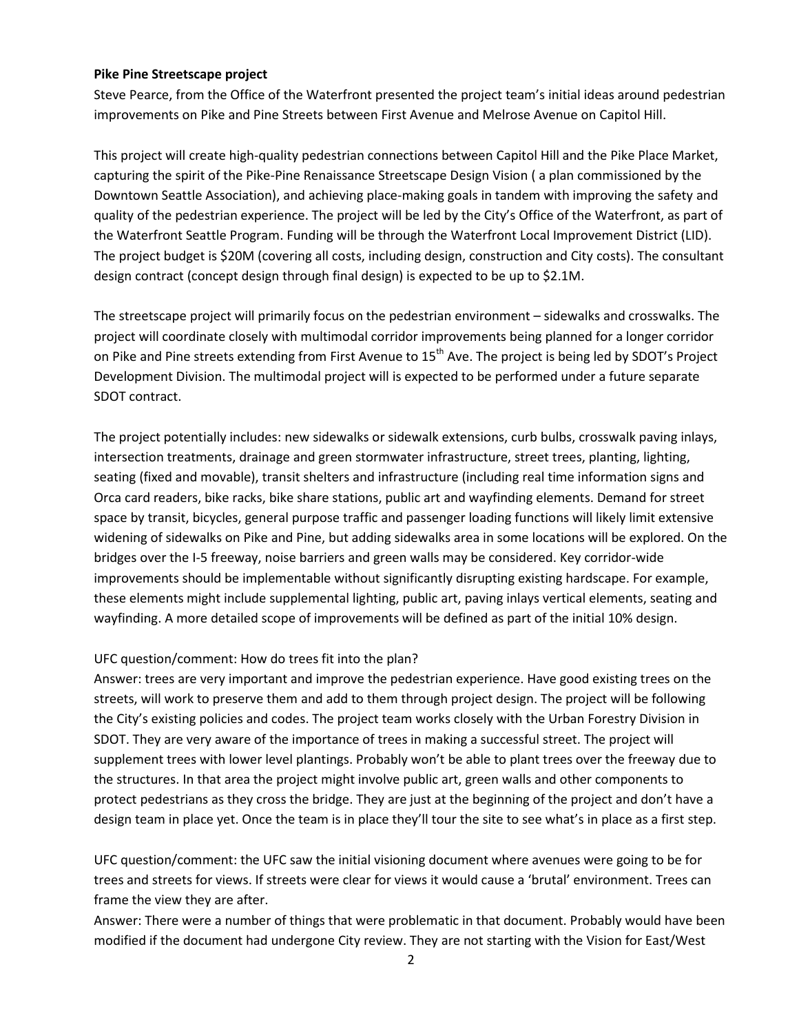### **Pike Pine Streetscape project**

Steve Pearce, from the Office of the Waterfront presented the project team's initial ideas around pedestrian improvements on Pike and Pine Streets between First Avenue and Melrose Avenue on Capitol Hill.

This project will create high-quality pedestrian connections between Capitol Hill and the Pike Place Market, capturing the spirit of the Pike-Pine Renaissance Streetscape Design Vision ( a plan commissioned by the Downtown Seattle Association), and achieving place-making goals in tandem with improving the safety and quality of the pedestrian experience. The project will be led by the City's Office of the Waterfront, as part of the Waterfront Seattle Program. Funding will be through the Waterfront Local Improvement District (LID). The project budget is \$20M (covering all costs, including design, construction and City costs). The consultant design contract (concept design through final design) is expected to be up to \$2.1M.

The streetscape project will primarily focus on the pedestrian environment – sidewalks and crosswalks. The project will coordinate closely with multimodal corridor improvements being planned for a longer corridor on Pike and Pine streets extending from First Avenue to 15<sup>th</sup> Ave. The project is being led by SDOT's Project Development Division. The multimodal project will is expected to be performed under a future separate SDOT contract.

The project potentially includes: new sidewalks or sidewalk extensions, curb bulbs, crosswalk paving inlays, intersection treatments, drainage and green stormwater infrastructure, street trees, planting, lighting, seating (fixed and movable), transit shelters and infrastructure (including real time information signs and Orca card readers, bike racks, bike share stations, public art and wayfinding elements. Demand for street space by transit, bicycles, general purpose traffic and passenger loading functions will likely limit extensive widening of sidewalks on Pike and Pine, but adding sidewalks area in some locations will be explored. On the bridges over the I-5 freeway, noise barriers and green walls may be considered. Key corridor-wide improvements should be implementable without significantly disrupting existing hardscape. For example, these elements might include supplemental lighting, public art, paving inlays vertical elements, seating and wayfinding. A more detailed scope of improvements will be defined as part of the initial 10% design.

## UFC question/comment: How do trees fit into the plan?

Answer: trees are very important and improve the pedestrian experience. Have good existing trees on the streets, will work to preserve them and add to them through project design. The project will be following the City's existing policies and codes. The project team works closely with the Urban Forestry Division in SDOT. They are very aware of the importance of trees in making a successful street. The project will supplement trees with lower level plantings. Probably won't be able to plant trees over the freeway due to the structures. In that area the project might involve public art, green walls and other components to protect pedestrians as they cross the bridge. They are just at the beginning of the project and don't have a design team in place yet. Once the team is in place they'll tour the site to see what's in place as a first step.

UFC question/comment: the UFC saw the initial visioning document where avenues were going to be for trees and streets for views. If streets were clear for views it would cause a 'brutal' environment. Trees can frame the view they are after.

Answer: There were a number of things that were problematic in that document. Probably would have been modified if the document had undergone City review. They are not starting with the Vision for East/West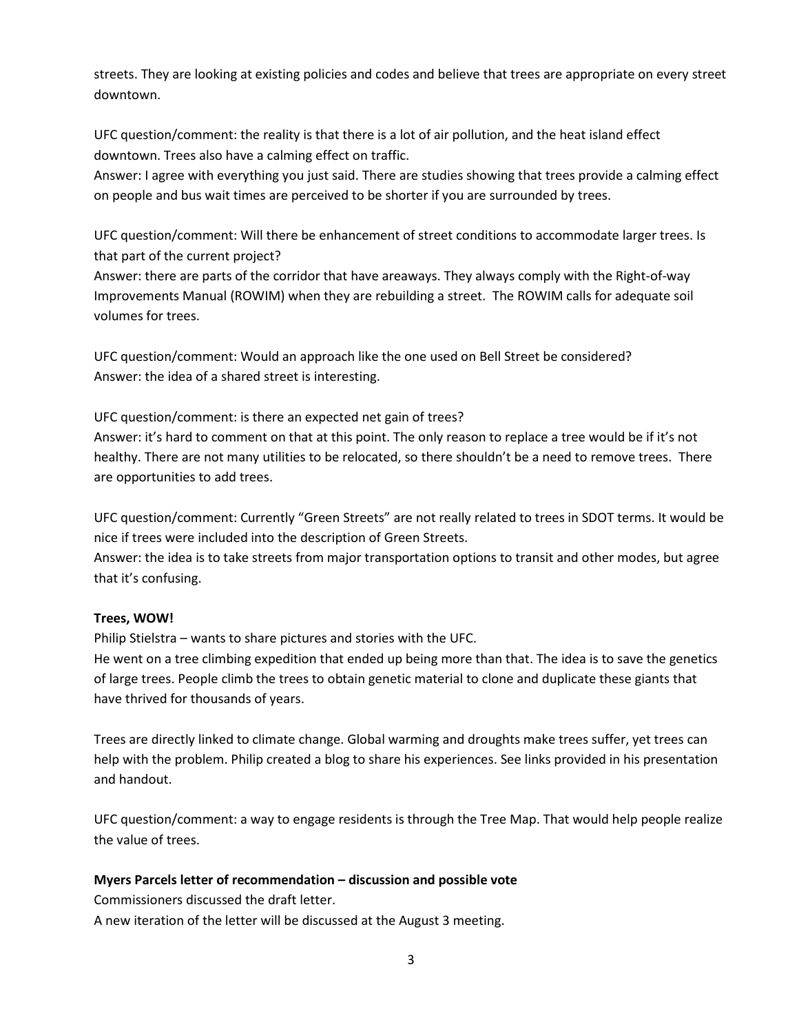streets. They are looking at existing policies and codes and believe that trees are appropriate on every street downtown.

UFC question/comment: the reality is that there is a lot of air pollution, and the heat island effect downtown. Trees also have a calming effect on traffic.

Answer: I agree with everything you just said. There are studies showing that trees provide a calming effect on people and bus wait times are perceived to be shorter if you are surrounded by trees.

UFC question/comment: Will there be enhancement of street conditions to accommodate larger trees. Is that part of the current project?

Answer: there are parts of the corridor that have areaways. They always comply with the Right-of-way Improvements Manual (ROWIM) when they are rebuilding a street. The ROWIM calls for adequate soil volumes for trees.

UFC question/comment: Would an approach like the one used on Bell Street be considered? Answer: the idea of a shared street is interesting.

UFC question/comment: is there an expected net gain of trees? Answer: it's hard to comment on that at this point. The only reason to replace a tree would be if it's not

healthy. There are not many utilities to be relocated, so there shouldn't be a need to remove trees. There are opportunities to add trees.

UFC question/comment: Currently "Green Streets" are not really related to trees in SDOT terms. It would be nice if trees were included into the description of Green Streets.

Answer: the idea is to take streets from major transportation options to transit and other modes, but agree that it's confusing.

## **Trees, WOW!**

Philip Stielstra – wants to share pictures and stories with the UFC.

He went on a tree climbing expedition that ended up being more than that. The idea is to save the genetics of large trees. People climb the trees to obtain genetic material to clone and duplicate these giants that have thrived for thousands of years.

Trees are directly linked to climate change. Global warming and droughts make trees suffer, yet trees can help with the problem. Philip created a blog to share his experiences. See links provided in his presentation and handout.

UFC question/comment: a way to engage residents is through the Tree Map. That would help people realize the value of trees.

## **Myers Parcels letter of recommendation – discussion and possible vote**

Commissioners discussed the draft letter.

A new iteration of the letter will be discussed at the August 3 meeting.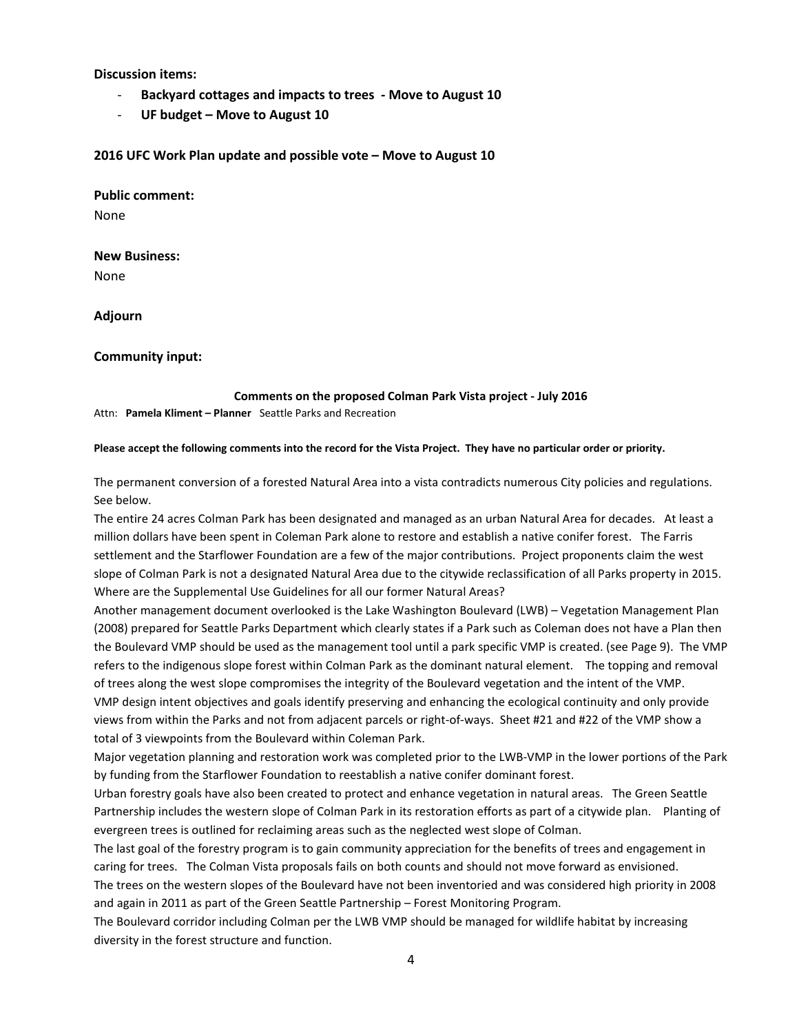### **Discussion items:**

- **Backyard cottages and impacts to trees - Move to August 10**
- **UF budget – Move to August 10**

### **2016 UFC Work Plan update and possible vote – Move to August 10**

**Public comment:**

None

### **New Business:**

None

**Adjourn**

### **Community input:**

#### **Comments on the proposed Colman Park Vista project - July 2016**

Attn: **Pamela Kliment – Planner** Seattle Parks and Recreation

#### **Please accept the following comments into the record for the Vista Project. They have no particular order or priority.**

The permanent conversion of a forested Natural Area into a vista contradicts numerous City policies and regulations. See below.

The entire 24 acres Colman Park has been designated and managed as an urban Natural Area for decades. At least a million dollars have been spent in Coleman Park alone to restore and establish a native conifer forest. The Farris settlement and the Starflower Foundation are a few of the major contributions. Project proponents claim the west slope of Colman Park is not a designated Natural Area due to the citywide reclassification of all Parks property in 2015. Where are the Supplemental Use Guidelines for all our former Natural Areas?

Another management document overlooked is the Lake Washington Boulevard (LWB) – Vegetation Management Plan (2008) prepared for Seattle Parks Department which clearly states if a Park such as Coleman does not have a Plan then the Boulevard VMP should be used as the management tool until a park specific VMP is created. (see Page 9). The VMP refers to the indigenous slope forest within Colman Park as the dominant natural element. The topping and removal of trees along the west slope compromises the integrity of the Boulevard vegetation and the intent of the VMP. VMP design intent objectives and goals identify preserving and enhancing the ecological continuity and only provide views from within the Parks and not from adjacent parcels or right-of-ways. Sheet #21 and #22 of the VMP show a total of 3 viewpoints from the Boulevard within Coleman Park.

Major vegetation planning and restoration work was completed prior to the LWB-VMP in the lower portions of the Park by funding from the Starflower Foundation to reestablish a native conifer dominant forest.

Urban forestry goals have also been created to protect and enhance vegetation in natural areas. The Green Seattle Partnership includes the western slope of Colman Park in its restoration efforts as part of a citywide plan. Planting of evergreen trees is outlined for reclaiming areas such as the neglected west slope of Colman.

The last goal of the forestry program is to gain community appreciation for the benefits of trees and engagement in caring for trees. The Colman Vista proposals fails on both counts and should not move forward as envisioned.

The trees on the western slopes of the Boulevard have not been inventoried and was considered high priority in 2008 and again in 2011 as part of the Green Seattle Partnership – Forest Monitoring Program.

The Boulevard corridor including Colman per the LWB VMP should be managed for wildlife habitat by increasing diversity in the forest structure and function.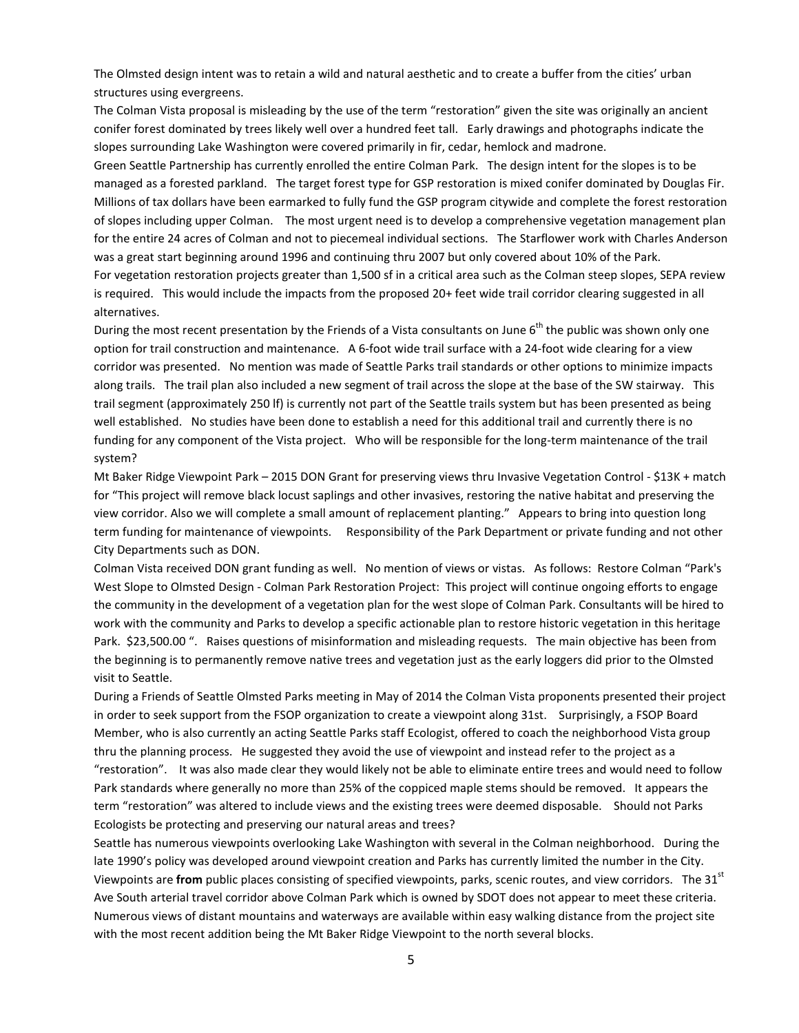The Olmsted design intent was to retain a wild and natural aesthetic and to create a buffer from the cities' urban structures using evergreens.

The Colman Vista proposal is misleading by the use of the term "restoration" given the site was originally an ancient conifer forest dominated by trees likely well over a hundred feet tall. Early drawings and photographs indicate the slopes surrounding Lake Washington were covered primarily in fir, cedar, hemlock and madrone.

Green Seattle Partnership has currently enrolled the entire Colman Park. The design intent for the slopes is to be managed as a forested parkland. The target forest type for GSP restoration is mixed conifer dominated by Douglas Fir. Millions of tax dollars have been earmarked to fully fund the GSP program citywide and complete the forest restoration of slopes including upper Colman. The most urgent need is to develop a comprehensive vegetation management plan for the entire 24 acres of Colman and not to piecemeal individual sections. The Starflower work with Charles Anderson was a great start beginning around 1996 and continuing thru 2007 but only covered about 10% of the Park.

For vegetation restoration projects greater than 1,500 sf in a critical area such as the Colman steep slopes, SEPA review is required. This would include the impacts from the proposed 20+ feet wide trail corridor clearing suggested in all alternatives.

During the most recent presentation by the Friends of a Vista consultants on June  $6<sup>th</sup>$  the public was shown only one option for trail construction and maintenance. A 6-foot wide trail surface with a 24-foot wide clearing for a view corridor was presented. No mention was made of Seattle Parks trail standards or other options to minimize impacts along trails. The trail plan also included a new segment of trail across the slope at the base of the SW stairway. This trail segment (approximately 250 lf) is currently not part of the Seattle trails system but has been presented as being well established. No studies have been done to establish a need for this additional trail and currently there is no funding for any component of the Vista project. Who will be responsible for the long-term maintenance of the trail system?

Mt Baker Ridge Viewpoint Park – 2015 DON Grant for preserving views thru Invasive Vegetation Control - \$13K + match for "This project will remove black locust saplings and other invasives, restoring the native habitat and preserving the view corridor. Also we will complete a small amount of replacement planting." Appears to bring into question long term funding for maintenance of viewpoints. Responsibility of the Park Department or private funding and not other City Departments such as DON.

Colman Vista received DON grant funding as well. No mention of views or vistas. As follows: Restore Colman "Park's West Slope to Olmsted Design - Colman Park Restoration Project: This project will continue ongoing efforts to engage the community in the development of a vegetation plan for the west slope of Colman Park. Consultants will be hired to work with the community and Parks to develop a specific actionable plan to restore historic vegetation in this heritage Park. \$23,500.00 ". Raises questions of misinformation and misleading requests. The main objective has been from the beginning is to permanently remove native trees and vegetation just as the early loggers did prior to the Olmsted visit to Seattle.

During a Friends of Seattle Olmsted Parks meeting in May of 2014 the Colman Vista proponents presented their project in order to seek support from the FSOP organization to create a viewpoint along 31st. Surprisingly, a FSOP Board Member, who is also currently an acting Seattle Parks staff Ecologist, offered to coach the neighborhood Vista group thru the planning process. He suggested they avoid the use of viewpoint and instead refer to the project as a "restoration". It was also made clear they would likely not be able to eliminate entire trees and would need to follow Park standards where generally no more than 25% of the coppiced maple stems should be removed. It appears the term "restoration" was altered to include views and the existing trees were deemed disposable. Should not Parks Ecologists be protecting and preserving our natural areas and trees?

Seattle has numerous viewpoints overlooking Lake Washington with several in the Colman neighborhood. During the late 1990's policy was developed around viewpoint creation and Parks has currently limited the number in the City. Viewpoints are **from** public places consisting of specified viewpoints, parks, scenic routes, and view corridors. The 31<sup>st</sup> Ave South arterial travel corridor above Colman Park which is owned by SDOT does not appear to meet these criteria. Numerous views of distant mountains and waterways are available within easy walking distance from the project site with the most recent addition being the Mt Baker Ridge Viewpoint to the north several blocks.